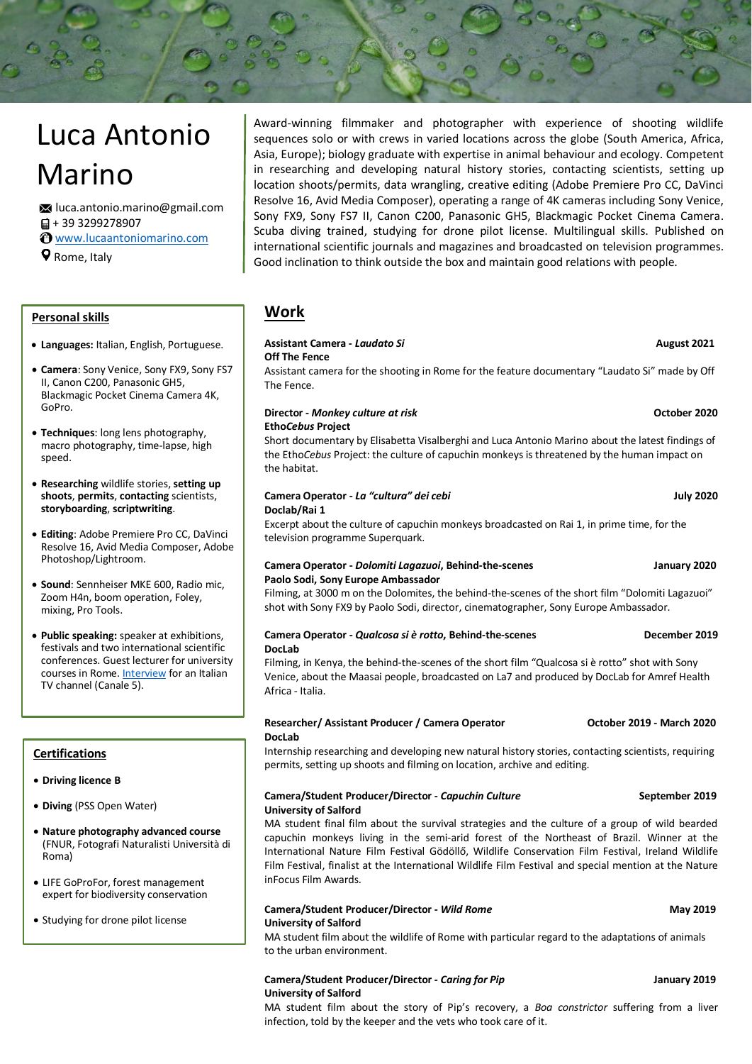# Luca Antonio Marino

**M** luca.antonio.marino@gmail.com ■ + 39 3299278907

 $\Theta$  [www.lucaantoniomarino.com](https://www.lucaantoniomarino.com/)

**P** Rome, Italy

## **Personal skills**

- **Languages:** Italian, English, Portuguese.
- **Camera**: Sony Venice, Sony FX9, Sony FS7 II, Canon C200, Panasonic GH5, Blackmagic Pocket Cinema Camera 4K, GoPro.
- **Techniques**: long lens photography, macro photography, time-lapse, high speed.
- **Researching** wildlife stories, **setting up shoots**, **permits**, **contacting** scientists, **storyboarding**, **scriptwriting**.
- **Editing**: Adobe Premiere Pro CC, DaVinci Resolve 16, Avid Media Composer, Adobe Photoshop/Lightroom.
- **Sound**: Sennheiser MKE 600, Radio mic, Zoom H4n, boom operation, Foley, mixing, Pro Tools.
- **Public speaking:** speaker at exhibitions, festivals and two international scientific conferences. Guest lecturer for university courses in Rome. [Interview](https://www.mediasetplay.mediaset.it/video/larcadinoe/il-primato-con-gli-strumenti_FD00000000236690) for an Italian TV channel (Canale 5).

## **Certifications**

- **Driving licence B**
- **Diving** (PSS Open Water)
- **Nature photography advanced course** (FNUR, Fotografi Naturalisti Università di Roma)
- LIFE GoProFor, forest management expert for biodiversity conservation
- Studying for drone pilot license

Award-winning filmmaker and photographer with experience of shooting wildlife sequences solo or with crews in varied locations across the globe (South America, Africa, Asia, Europe); biology graduate with expertise in animal behaviour and ecology. Competent in researching and developing natural history stories, contacting scientists, setting up location shoots/permits, data wrangling, creative editing (Adobe Premiere Pro CC, DaVinci Resolve 16, Avid Media Composer), operating a range of 4K cameras including Sony Venice, Sony FX9, Sony FS7 II, Canon C200, Panasonic GH5, Blackmagic Pocket Cinema Camera. Scuba diving trained, studying for drone pilot license. Multilingual skills. Published on international scientific journals and magazines and broadcasted on television programmes. Good inclination to think outside the box and maintain good relations with people.

## **Work**

## **Assistant Camera -** *Laudato Si* **August 2021**

## **Off The Fence**

Assistant camera for the shooting in Rome for the feature documentary "Laudato Si" made by Off The Fence.

## **Director -** *Monkey culture at risk* **October 2020 Etho***Cebus* **Project**

Short documentary by Elisabetta Visalberghi and Luca Antonio Marino about the latest findings of the Etho*Cebus* Project: the culture of capuchin monkeys is threatened by the human impact on the habitat.

## **Camera Operator -** *La "cultura" dei cebi* **July 2020 Doclab/Rai 1**

Excerpt about the culture of capuchin monkeys broadcasted on Rai 1, in prime time, for the television programme Superquark.

## **Camera Operator -** *Dolomiti Lagazuoi***, Behind-the-scenes January 2020 Paolo Sodi, Sony Europe Ambassador**

Filming, at 3000 m on the Dolomites, the behind-the-scenes of the short film "Dolomiti Lagazuoi" shot with Sony FX9 by Paolo Sodi, director, cinematographer, Sony Europe Ambassador.

## **Camera Operator -** *Qualcosa si è rotto***, Behind-the-scenes December 2019 DocLab**

Filming, in Kenya, the behind-the-scenes of the short film "Qualcosa si è rotto" shot with Sony Venice, about the Maasai people, broadcasted on La7 and produced by DocLab for Amref Health Africa - Italia.

## **Researcher/ Assistant Producer / Camera Operator October 2019 - March 2020 DocLab**

Internship researching and developing new natural history stories, contacting scientists, requiring permits, setting up shoots and filming on location, archive and editing.

## **Camera/Student Producer/Director -** *Capuchin Culture* **September 2019 University of Salford**

MA student final film about the survival strategies and the culture of a group of wild bearded capuchin monkeys living in the semi-arid forest of the Northeast of Brazil. Winner at the International Nature Film Festival Gödöllő, Wildlife Conservation Film Festival, Ireland Wildlife Film Festival, finalist at the International Wildlife Film Festival and special mention at the Nature inFocus Film Awards.

## **Camera/Student Producer/Director -** *Wild Rome* **May 2019 University of Salford**

MA student film about the wildlife of Rome with particular regard to the adaptations of animals to the urban environment.

## **Camera/Student Producer/Director -** *Caring for Pip* **January 2019 University of Salford**

MA student film about the story of Pip's recovery, a *Boa constrictor* suffering from a liver infection, told by the keeper and the vets who took care of it.